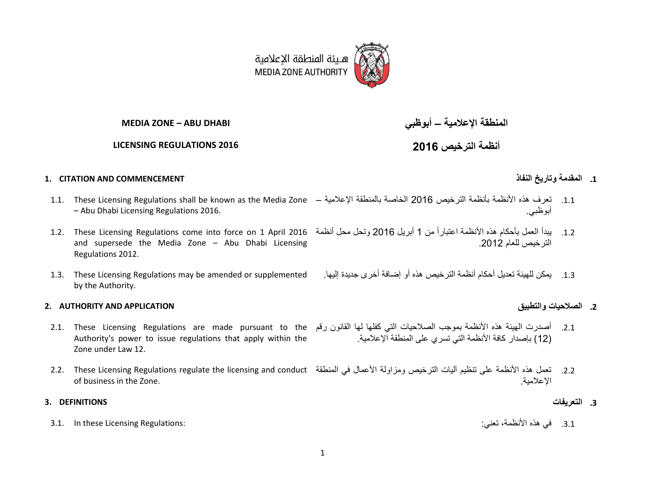

**MEDIA ZONE – ABU DHABI** 

**LICENSING REGULATIONS 2016**

**المنطقة اإلعالمية – أبوظبي**

**أنظمة الترخيص 2016**

### **.1 المقدمة وتاريخ النفاذ COMMENCEMENT AND CITATION 1.**

- 1.1. تعرف هذه الأنظمة بأنظمة الترخيص 2016 الخاصة بالمنطقة الإعلامية 1.1. These Licensing Regulations shall be known as the Media Zone – Abu Dhabi Licensing Regulations 2016.
- and supersede the Media Zone Abu Dhabi Licensing Regulations 2012.
- 1.3. These Licensing Regulations may be amended or supplemented by the Authority.

#### **2. AUTHORITY AND APPLICATION والتطبيق الصالحيات .2**

- 2.1. أصدرت الهيئة هذه الأنظمة بموجب الصلاحيات التي كفلها لها القانون رقم 2.1. These Licensing Regulations are made pursuant to the Authority's power to issue regulations that apply within the Zone under Law 12.
- 2.2. تعمل هذه الأنظمة على تنظيم أليات الترخيص ومزاولة الأعمال في المنطقة 2.2. These Licensing Regulations regulate the licensing and conduct of business in the Zone. اإلعالمية.

.3.1 في هذه الأنظمة، تعني: :Regulations: و هذه الأنظمة، تعني: :Regulations المسلم الذي يقوم الأنظمة، تعني: :Re

- 
- أبوظبي.
- 1.2. بيدأ العمل بأحكام هذه الأنظمة اعتباراً من 1 أبريل 2016 وتحل محل أنظمة 2016 1.2. These Licensing Regulations come into force on 1 April 2016 الترخيص للعام .2012
	- .1.1 يمكن للهيئة تعديل أحكام أنظمة الترخيص هذه أو إضافة أخرى جديدة إليها.

(12) بإصدار كافة الأنظمة التي تسري على المنطقة الإعلامية.

- **.3 التعريفات DEFINITIONS 3.**
	-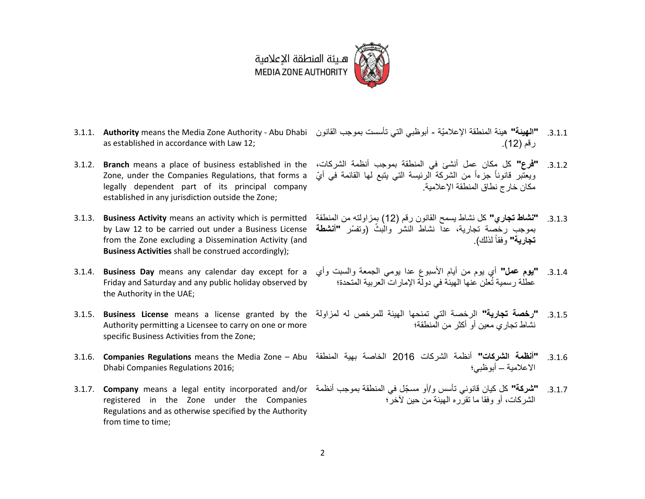

- 3.1.1. **"الهينة"** هيئة المنطقة الإعلاميّة أبوظبي التي تأسست بموجب القانون 3.1.1. **Authority** means the Media Zone Authority Abu Dhabi as established in accordance with Law 12; رقم (12).
- Zone, under the Companies Regulations, that forms a legally dependent part of its principal company established in any jurisdiction outside the Zone;
- 3.1.3. **Business Activity** means an activity which is permitted by Law 12 to be carried out under a Business License from the Zone excluding a Dissemination Activity (and **Business Activities** shall be construed accordingly);
- Friday and Saturday and any public holiday observed by the Authority in the UAE;
- Authority permitting a Licensee to carry on one or more specific Business Activities from the Zone;
- Dhabi Companies Regulations 2016;
- registered in the Zone under the Companies Regulations and as otherwise specified by the Authority from time to time;
- 3.1.2. **"فرع"** كل مكان عمل أنشئ في المنطقة بموجب أنظمة الشركات، 3.1.2. **Branch** means a place of business established in the ويعتّبر قانوناً جزءاً من الشركة الرئيسة التي يتبع لمها القائمة في أيّ مكان خارج نطاق المنطقة الإعلامية.
	- .1.1.1 **"نشاط تجاري"** كل نشاط يسمح القانون رقم )12( بمزاولته من المنطقة بموجب رخصة تجارية، عدا نشاط النشر والبثّ (وتفسّر **"أنشطة** وفقاً **تجارية"** لذلك(.
- 3.1.4. **"يوم عمل"** أي يوم من أيام الأسبوع عدا يومي الجمعة والسبت وأي 3.1.4. **Business Day** means any calendar day except for a عطلة رسمية تُعلن عنها الهيئة في دولة اإلمارات العربية المتحدة؛
- 3.1.5.  **"رخصة تجارية"** الرخصة التي تمنحها الهيئة للمرخص له لمزاولة 3.1.5 **Business License** means a license granted by the نشاط تجاري معين أو أكثر من المنطقة؛
- 3.1.6. **Companies Regulations** means the Media Zone Abu .1.1.3 **"أنظمة الشركات"** أنظمة الشركات 2016 الخاصة بهية المنطقة االعالمية – أبوظبي؛
- 3.1.7. **"شركة"** كل كيان قانوني تأسس و/أو مسجّل في المنطقة بموجب أنظمة 3.1.7. **Company** means a legal entity incorporated and/or الشركات، أو وفقا ما تقرره الهيئة من حين آلخر؛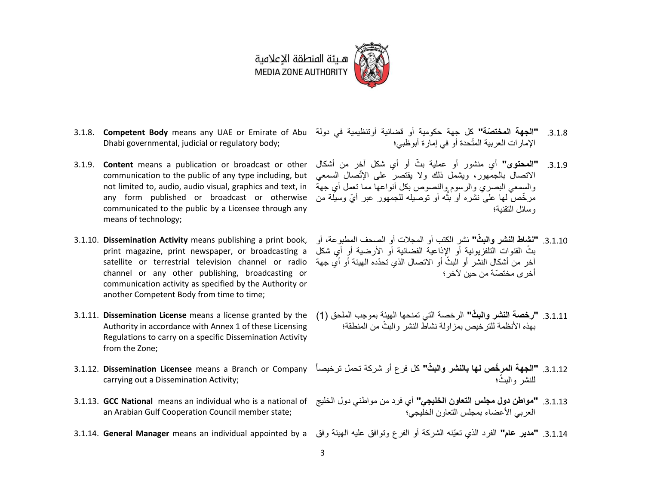

- Dhabi governmental, judicial or regulatory body;
- 3.1.9. **Content** means a publication or broadcast or other any form published or broadcast or otherwise communicated to the public by a Licensee through any means of technology;
- 3.1.10. **Dissemination Activity** means publishing a print book, print magazine, print newspaper, or broadcasting a satellite or terrestrial television channel or radio channel or any other publishing, broadcasting or communication activity as specified by the Authority or another Competent Body from time to time;
- 3.1.11. **Dissemination License** means a license granted by the Authority in accordance with Annex 1 of these Licensing Regulations to carry on a specific Dissemination Activity from the Zone;
- carrying out a Dissemination Activity;
- an Arabian Gulf Cooperation Council member state;
- 
- 3.1.8. **"الجهة المختصّة"** كل جهة حكومية أو قضائية أوتنظيمية في دولة 3.1.8. **Competent Body** means any UAE or Emirate of Abu اإلمارات العربية المتّحدة أو في إمارة أبوظبي؛
	- communication to the public of any type including, but االتصال بالجمهور، ويشمل ذلك وال يقتصر على اإلتّصال السمعي not limited to, audio, audio visual, graphics and text, in والسمعي البصري والرسوم والنصوص بكل أنواعها مما تعمل أي جهة 3.1.9. **"المحتوى"** أي منشور أو عملية بثّ أو أي شكل آخر من أشكال مرخّصٌ لمها علىّ نشره أو بثّه أو نوصيله للجمهور عبر أيّ وسيلة من ان<br>ا وسائل التقنية؛
		- .1.1.13 **"نشاط النشر والب ّث"** نشر الكتب أو المجالت أو الصحف المطبوعة، أو بثّ القنوات التلفزيونية أو الإذاعية الفضائية أو الأرضية أو أي شكل آخر من أشكال النشر أو البثّ أو الاتصال الذي تحدّده الهيئة أو أي جهة أخرى مختصّة من حين آلخر؛
		- .3.1.11 **"رخصة النشر والبثّ"** الرخصة التي تمنحها الهيئة بموجب الملحق (1) بهذه الأنظمة للترخيص بمزاولة نشاط النشر والبثّ من المنطقة؛
- 3.1.12. **"الجهة المرخّص لها بالنشر والبثّ"** كل فرع أو شركة تحمل ترخيصاً 3.1.12. **Dissemination Licensee** means a Branch or Company للنشر والبثّ؛
- 3.1.13. **"مواطن دول مجلس التعاون الخليجي"** أي فرد من مواطني دول الخليج 3.1.13 **GCC National** means an individual who is a national of العربي الأعضاء بمجلس التعاون الخليجي؛
- 3.1.14. **"مدير عام"** الفرد الذي تعيّنه الشركة أو الفرع وتوافق عليه الهيئة وفق 3.1.14. **General Manager** means an individual appointed by a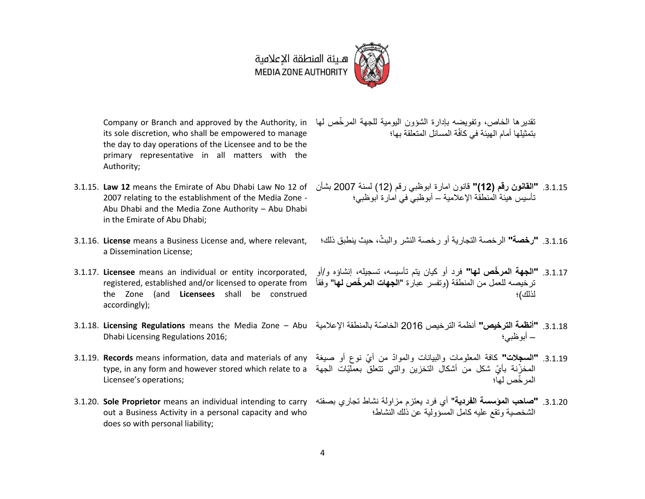# هــيئة المنطقة الإعلامية<br>MEDIA ZONE AUTHORITY



its sole discretion, who shall be empowered to manage the day to day operations of the Licensee and to be the primary representative in all matters with the Authority;

- 3.1.15. **Law 12** means the Emirate of Abu Dhabi Law No 12 of 2007 relating to the establishment of the Media Zone - Abu Dhabi and the Media Zone Authority – Abu Dhabi in the Emirate of Abu Dhabi;
- 3.1.16. **License** means a Business License and, where relevant, a Dissemination License;
- 3.1.17. **Licensee** means an individual or entity incorporated, registered, established and/or licensed to operate from the Zone (and **Licensees** shall be construed accordingly);
- Dhabi Licensing Regulations 2016;
- Licensee's operations;
- out a Business Activity in a personal capacity and who does so with personal liability;

تقديرها الخاص، وتفويضه بإدارة الشؤون اليومية للجهة المرخّص لمها Company or Branch and approved by the Authority, in بتمثيلها أمام الهيئة في كافّة المسائل المتعلقة بها؛

> .1.1.13 **"القانون رقم )12("** قانون امارة ابوظبي رقم )12( لسنة 2007 بشأن تأسيس هيئة المنطقة اإلعالمية – أبوظبي في امارة ابوظبي؛

3.1.16. **"رخصة"** الرخصة التجارية أو رخصة النشر والبثّ، حيث ينطبق ذلك؛

- .1.1.13 **"الجهة المر ّخص لها"** فرد أو كيان يتم تأسيسه، تسجيله، إنشاؤه و/أو " وفقاً ترخيصه للعمل من المنطقة )وتفسر عبارة "**الجهات المر ّخص لها** لذلك)؛
- 3.1.18. **Licensing Regulations** means the Media Zone Abu .1.1.13 **"أنظمة الترخيص"** أنظمة الترخيص 2016 الخاصّة بالمنطقة اإلعالمية – أبوظبي؛
- 3.1.19. **"السجلات"** كافة المعلومات والبيانات والموادّ من أيّ نوع أو صيغة 3.1.19 R**ecords** means information, data and materials of any type, in any form and however stored which relate to a بايّ شكل من أشكال التخزين والتي نتعلق بعملّيّات الجهة المر ّخص لها؛
- 3.1.20. **"صاحب المؤسسة الفردية"** أي فرد يعتزم مزاولة نشاط تجاري بصفته 3.1.20 و3.1.20. **Sole Proprietor** means an individual intending to carry الشخصية وتقع عليه كامل المسؤولية عن ذلك النشاط؛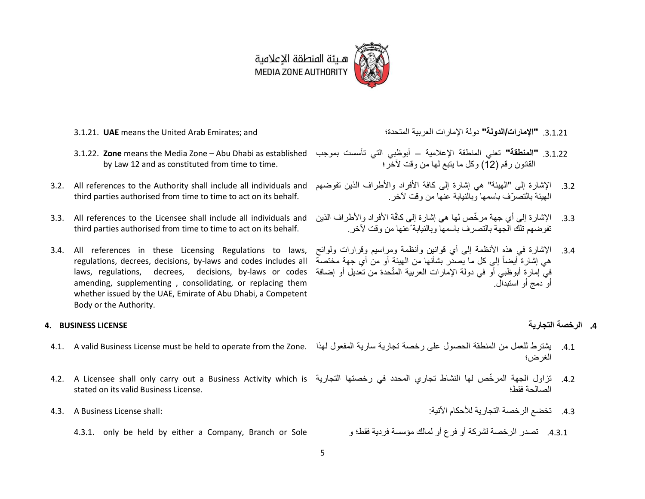

- 3.1.21. **UAE** means the United Arab Emirates; and المتحدة؛ العربية اإلمارات دولة**" الدولة/اإلمارات "**.1.1.11
- by Law 12 and as constituted from time to time.
- third parties authorised from time to time to act on its behalf.
- 3.3. All references to the Licensee shall include all individuals and third parties authorised from time to time to act on its behalf.
- 3.4. All references in these Licensing Regulations to laws, regulations, decrees, decisions, by-laws and codes includes all amending, supplementing , consolidating, or replacing them whether issued by the UAE, Emirate of Abu Dhabi, a Competent Body or the Authority.

- 
- 4.2. تزاول الجهة المرخّص لها النشاط تجاري المحدد في رخصتها التجارية A.2. A Licensee shall only carry out a Business Activity which is stated on its valid Business License.
- 4.3. تخضع الرخصة التجارية للأحكام الآتية: :shall: " .shall: " .shall License shall: " .shall License Shall
	- .3.1.1 تصدر الرخصة لشركة أو فرع أو لمالك مؤسسة فردية فقط؛ و Sole or Branch ,Company a either by held be only 4.3.1.
- 
- 3.1.22. **"المنطقة"** تعني المنطقة الإعلامية أبوظبي التي تأسست بموجب 3.1.22 Abu Dhabi as established (3.1.22 القانون رقم (12) وكل ما يتبع لها من وقت لآخر ؛
- 3.2. الإشارة إلى "المهيئة" هي إشارة إلى كافة الأفراد والأطراف الذين تفوضهم J.2. All references to the Authority shall include all individuals and الهيئة بالتصرّف باسمها وبالنيابة عنها من وقت آلخر.
	- 3.3. الإشارة إلى أي جهة مرخّص لها هي إشارة إلى كافّة الأفراد والأطراف الذين تفوضهم تلك الجهة بالتصرف باسمها وبالنيابة ًعنها من وقت آلخر.
	- laws, regulations, decrees, decisions, by-laws or codes في إمارة أبوظبي أو في دولة اإلمارات العربية المت ة من تعديل أو إضافة ّحد 3.4. الإشارة في هذه الأنظمة إلى أي قوانين وأنظمة ومراسيم وقرارات ولوائح هي إشارة أيضاً إلى كل ما يصدّر بشأنها من الهيئة أو من أي جهة مختصة أو دمج أو استبدال.

#### **.4 الرخصة التجارية LICENSE BUSINESS 4.**

- 4.1. يشترط للعمل من المنطقة الحصول على رخصة تجارية سارية المفعول لهذا .4.1. A valid Business License must be held to operate from the Zone الغرض؛
	- الصالحة فقط؛
		-
	-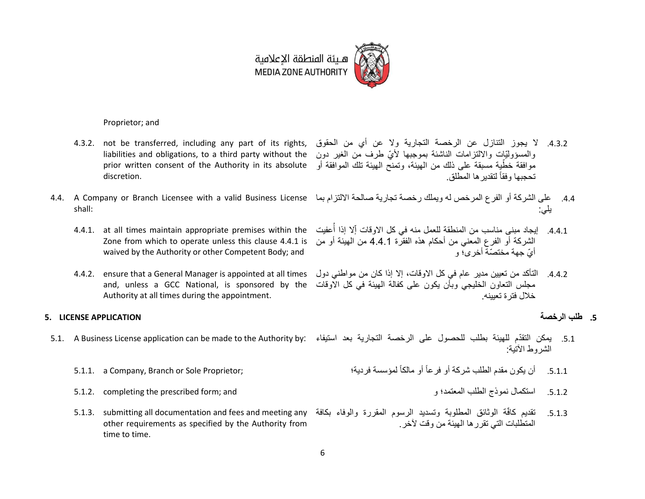

- Proprietor; and
- discretion.
- shall:
	- 4.4.1. at all times maintain appropriate premises within the Zone from which to operate unless this clause 4.4.1 is waived by the Authority or other Competent Body; and
	- Authority at all times during the appointment.

### **.5 طلب الرخصة APPLICATION LICENSE 5.**

- 5.1. يمكن التقدّم للهيئة بطلب للحصول على الرخصة التجارية بعد استيفاء :5.1. A Business License application can be made to the Authority by
	- 5.1.1. a Company, Branch or Sole Proprietor; أو مالكاً .3.1.1 أن يكون مقدم الطلب شركة أو فرعاً
	- .3.1.1 استكمال نموذج الطلب المعتمد؛ و and; form prescribed the completing 5.1.2.
	- other requirements as specified by the Authority from time to time.
- 4.3.2. لا يجوز التنازل عن الرخصة التجارية ولا عن أي من الحقوق ,4.3.2. not be transferred, including any part of its rights liabilities and obligations, to a third party without the والمسؤوليّات وااللتزامات الناشئة بموجبها أليّ طرف من الغير دون موافقة خطّية مسبقة على ذلك من الهيئة، وتمنّح الهيئة تلك الموافقة أو prior written consent of the Authority in its absolute تحجبها وفقا لتقديرها المطلق. ً
- 4.4. على الشركة أو الفرع المرخص له ويملك رخصة تجارية صالحة الالتزام بما 4.4. A Company or Branch Licensee with a valid Business License يلي:
	- ُ4.4.1 إيجاد مبنى مناسب من المنطقة للعمل منه في كل الاوقات إّلا إذا أُعفيت الشركة أو الفرع المعني من أحكام هذه الفقرة 4.4.1 من الهيئة أو من أيّ جهة مختصّة أخرى؛ و
	- 4.4.2. التأكد من تعيين مدير عام في كل الاوقات، إلا إذا كان من مواطني دول A.4.2. ensure that a General Manager is appointed at all times and, unless a GCC National, is sponsored by the مجلس التعاون الخليجي وبأن يكون على كفالة الهيئة في كل االوقات خالل فترة تعيينه.

- الشروط الآتية:
	-
- 5.1.3. تقديم كافّة الوثائق المطلوبة وتسديد الرسوم المقررة والوفاء بكافة S.1.3. submitting all documentation and fees and meeting any المتطلبات التي تقررها الهيئة من وقت آلخر.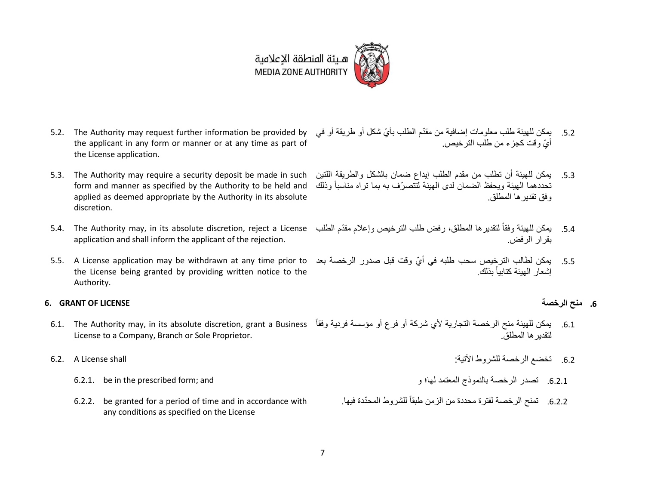

- 5.2. The Authority may request further information be provided by the applicant in any form or manner or at any time as part of the License application.
- 5.3. The Authority may require a security deposit be made in such form and manner as specified by the Authority to be held and applied as deemed appropriate by the Authority in its absolute discretion.
- application and shall inform the applicant of the rejection.
- 5.5. A License application may be withdrawn at any time prior to بمكن لطالب الترخيص سحب طلبه في أيّ وقت قبل صدور الرخصة بعد 6.5. A License application may be withdrawn at any time prior to the License being granted by providing written notice to the Authority.

### **6. GRANT OF LICENSE الرخصة منح .6**

- License to a Company, Branch or Sole Proprietor.
- -
	- 6.2.2. be granted for a period of time and in accordance with any conditions as specified on the License
- .5.2 يمكن للهيئة طلب معلومات إضافية من مقدّم الطلب بأيّ شكل أو طريقة أو في أيّ وقت كجزء من طلب الترخيص.
- .3.1 يمكن للهيئة أن تطلب من مقدم الطلب إيداع ضمان بالشكل والطريقة اللتين تحددهما الهيئة ويحفظ الضمان لدى الهيئة لتتص ّرف به بما تراه مناسباً وذلك وفق تقديرها المطلق.
- 5.4. بمكن للهيئة وفقاً لتقديرها المطلق، رفض طلب الترخيص وإعلام مقدّم الطلب 5.4. The Authority may, in its absolute discretion, reject a License بقرار الرفض.
	- إشعار الهبئة كتابياً بذلك

- 6.1. Ine Authority may, in its absolute discretion, grant a Business فقاً وغوسسة فردية وفقاً 6.1. The Authority may, in its absolute discretion, grant a Business وفقاً لتقديرها المطلق.
- .3.1 تخضع الرخصة للشروط اآلتية: shall License A 6.2.
	- .3.1.1 تصدر الرخصة بالنموذج المعتمد لها؛ و and; form prescribed the in be 6.2.1.
		- 6.2.2. تمنح الرخصة لفترة محددة من الزمن طبقاً للشروط المحدّدة فيها.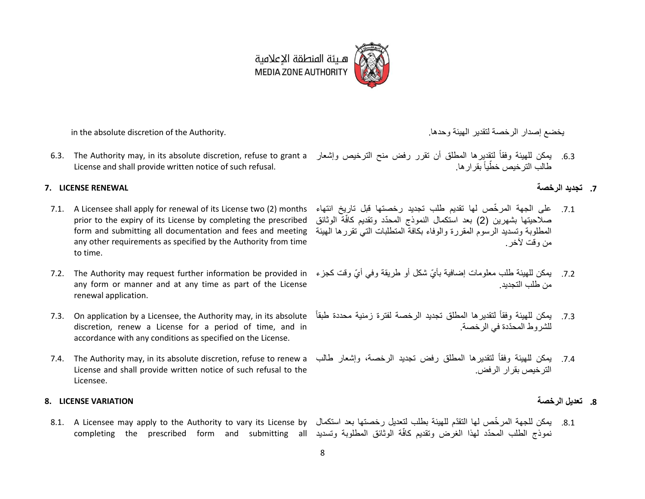

in the absolute discretion of the Authority. .وحدها الهيئة لتقدير الرخصة إصدار يخضع

License and shall provide written notice of such refusal.

### **.7 تجديد الرخصة RENEWAL LICENSE 7.**

- prior to the expiry of its License by completing the prescribed form and submitting all documentation and fees and meeting any other requirements as specified by the Authority from time to time.
- any form or manner and at any time as part of the License renewal application.
- discretion, renew a License for a period of time, and in accordance with any conditions as specified on the License.
- License and shall provide written notice of such refusal to the Licensee.

#### <span id="page-7-0"></span>**.8 تعديل الرخصة VARIATION LICENSE 8.**

completing the prescribed form and submitting all نموذج الطلب المحّدد لهذا الغرض وتقديم كافّة الوثائق المطلوبة وتسديد

- 6.3. يمكن للمهيئة وفقاً لتقديرها المطلق أن تقرر رفض منح الترخيص وإشعار 6.3. The Authority may, in its absolute discretion, refuse to grant a طالب الترخيص خطّياً بقرار ها.
	-
- 7.1. على الجهة المرخّص لها تقديم طلب تجديد رخصتها قبل تاريخ انتهاء 1. A Licensee shall apply for renewal of its License two (2) months صلاحيتها بشهرين (2) بعد استكمال النموذج المحدّد وتقديم كافّة الوثائق المطلوبة وتسديد الرسوم المقررة والوفاء بكافة المتطلبات التي تقررها الهيئة من وقت لأخر
- 7.2 يمكن للمهيئة طلب معلومات إضافية بأيّ شكل أو طريقة وفي أيّ وقت كجزء The Authority may request further information be provided in من طلب التجديد.
- 7.3. Dn application by a Licensee, the Authority may, in its absolute فقاً لتقديرها المطلق تجديد الرخصة لفترة زمنية محددة طبقاً T.3. On application by a Licensee, the Authority may, in its absolute فبقاً فقرة للشروط المحّددة في الرخصة.
- 7.4. Ine Authority may, in its absolute discretion, refuse to renew a وإشعار طالب , 7.4. The Authority may, in its absolute discretion, refuse to renew a الترخيص بقرار الرفض.

8.1. a Licensee may apply to the Authority to vary its License by يمكن للجهة المرخّص لها التقدّم للهيئة بطلب لتعديل رخصتها بعد استكمال 8.1. A Licensee may apply to the Authority to vary its License by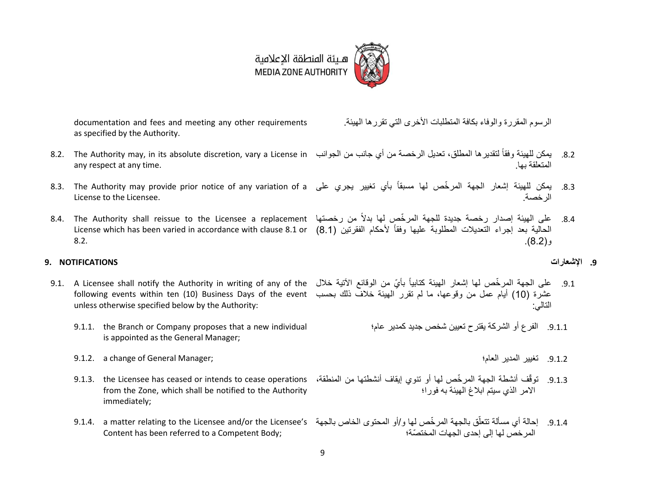

documentation and fees and meeting any other requirements as specified by the Authority.

- <span id="page-8-0"></span>8.2. 12 يمكن للهيئة وفقاً لتقديرها المطلق، تعديل الرخصة من أي جانب من الجوانب S.2. The Authority may, in its absolute discretion, vary a License in any respect at any time. المتعلقة بها.
- License to the Licensee.
- [8.2.](#page-8-0)

### **.9 اإلشعارات NOTIFICATIONS 9.**

- <span id="page-8-1"></span>following events within ten (10) Business Days of the event عشرة )10( أيام عمل من وقوعها، ما لم تقرر الهيئة خالف ذلك بحسب unless otherwise specified below by the Authority:
	- 9.1.1. the Branch or Company proposes that a new individual is appointed as the General Manager;
	- 9.1.2. a change of General Manager; العام؛ المدير تغيير .3.1.1
	- from the Zone, which shall be notified to the Authority immediately;
	- 9.1.4. إحالة أي مسألة تتعلّق بالجهة المرخّص لها و/أو المحتوى الخاص بالجهة \$9.1.4. a matter relating to the Licensee and/or the Licensee's Content has been referred to a Competent Body; المرخص لها إلى إحدى الجهات المختصّة؛

9

- الرسوم المقررة والوفاء بكافة المتطلبات األخرى التي تقررها الهيئة.
- 
- 8.3. Ine Authority may provide prior notice of any variation of a يمكن للهيئة إشعار الجهة المرخّص لها مسبقاً بأي تغيير يجري على الرخصة.
- 8.4. على الهيئة إصدار رخصة جديدة للجهة المرخّص لها بدلاً من رخصتها 8.4. The Authority shall reissue to the Licensee a replacement الحالية بعد إجراء التعديلات المطلوبة عليها وفقاً لأحكام الفقرتين (8.1) License which has been varied in accordance with clause 8.1 or  $(8.2)$ .

- 9.1. على الجهة المرخّص لها إشعار الهيئة كتابياً بأيّ من الوقائع الأتية خلال S.1. A Licensee shall notify the Authority in writing of any of the التالي:
	- .3.1.1 الفرع أو الشركة يقترح تعيين شخص جديد كمدير عام؛
		-
	- 9.1.3. توقّف أنشطة الجهة المرخّص لها أو تنوي إيقاف أنشطتها من المنطقة، 9.1.3. the Licensee has ceased or intends to cease operations االمر الذي سيتم ابالغ الهيئة به فورا؛
		-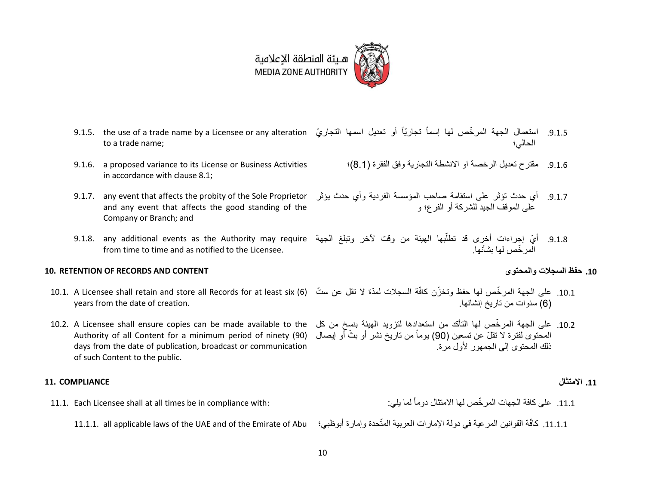

- 9.1.5. استعمال الجهة المرخّص لها إسماً تجاريّاً أو تعديل اسمها التجاريّ 1.5. the use of a trade name by a Licensee or any alteration to a trade name; الحالي؛
- 9.1.6. a proposed variance to its License or Business Activities in accordance with clause [8.1;](#page-7-0)
- and any event that affects the good standing of the Company or Branch; and
- from time to time and as notified to the Licensee.

#### **10. RETENTION OF RECORDS AND CONTENT والمحتوى السجالت حفظ .11**

- years from the date of creation.
- المحتوى لفترة لا تقلّ عن تسعين (90) يوماً من تاريخ نشر أو بثّ أو إيصال (Authority of all Content for a minimum period of ninety (90 days from the date of publication, broadcast or communication of such Content to the public.

### **.11 االمتثال COMPLIANCE 11.**

- 11.1. Each Licensee shall at all times be in compliance with:
	-
- 9.1.6. مقترح تعديل الرخصة او الانشطة التجارية وفق الفقرة (8.1)؛
- 9.1.7. أي حدث تؤثر على استقامة صاحب المؤسسة الفردية وأي حدث يؤثر 9.1.7. any event that affects the probity of the Sole Proprietor على الموقف الجيد للشركة أو الفرع؛ و
- 9.1.8. أيّ إجراءات أخرى قد تطلّبها الهيئة من وقت لأخر وتبلغ الجهة 9.1.8. any additional events as the Authority may require أ المر ّخص لها بشأنها.

- 10.1. على الجهة المرخّص لها حفظ وتخزّن كافّة السجلات لمدّة لا تقل عن ستّ (6) 10.1. A Licensee shall retain and store all Records for at least six )6( سنوات من تاريخ إنشائها.
- 10.2. على الجهة المرخّص لها التأكد من استعدادها لتزويد الهيئة بنسخ من كل 10.2. A Licensee shall ensure copies can be made available to the ذلك المحتوى إلى الجمهور ألول مرة.

- .11.1 على كافة الجهات المر ّخص لها االمتثال دوماً
- 11.1.1. كافّة القوانين المرعية في دولة الإمارات العربية المتّحدة وإمارة أبوظبي؛ 11.1.1.1. all applicable laws of the UAE and of the Emirate of Abu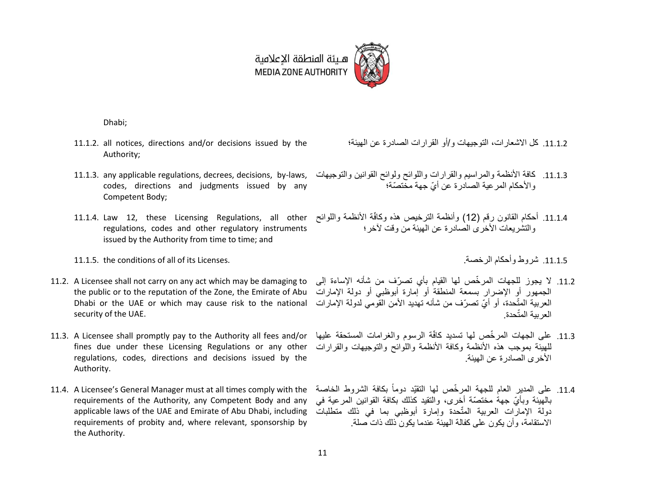

Dhabi;

- 11.1.2. all notices, directions and/or decisions issued by the Authority;
- 11.1.3. any applicable regulations, decrees, decisions, by-laws, codes, directions and judgments issued by any Competent Body;
- regulations, codes and other regulatory instruments issued by the Authority from time to time; and
- 11.1.5. the conditions of all of its Licenses. .الرخصة وأحكام شروط .11.1.3
- 11.2. A Licensee shall not carry on any act which may be damaging to Dhabi or the UAE or which may cause risk to the national security of the UAE.
- fines due under these Licensing Regulations or any other regulations, codes, directions and decisions issued by the Authority.
- requirements of the Authority, any Competent Body and any applicable laws of the UAE and Emirate of Abu Dhabi, including requirements of probity and, where relevant, sponsorship by the Authority.

.11.1.1 كل االشعارات، التوجيهات و/أو القرارات الصادرة عن الهيئة؛

- .11.1.1 كافة األنظمة والمراسيم والقرارات واللوائح ولوائح القوانين والتوجيهات واألحكام المرعية الصادرة عن أيّ جهة مختصّة؛
- 11.1.4. Law 12, these Licensing Regulations, all other وكافّة الأنظمة واللوائح )11.1.4. Law 12, these Licensing Regulations, all other والنشر بعات الأخرى الصادر ة عن الهيئة من وقت لآخر ؛

- the public or to the reputation of the Zone, the Emirate of Abu الجمهور أو اإلضرار بسمعة المنطقة أو إمارة أبوظبي أو دولة اإلمارات 11.2. لا يجوز للجهات المرخّص لها القيام بأي تصرّف من شأنه الإساءة إلى العربية المتّحدة، أو أيّ تصرّف من شأنه تهديد الأمن القومي لدولة الإمارات العربية المتّحدة.
- 11.3. على الجهات المرخّص لها تسديد كافّة الرسوم والغرامات المستحقة عليها 11.3. A Licensee shall promptly pay to the Authority all fees and/or للهيئة بموجب هذه الأنظمة وكافة الأنظمة واللوائح والتوجيهات والقرارات األخرى الصادرة عن الهيئة.
- 11.4. على المدير العام للجهة المرخّص لها التقيّد دوماً بكافة الشروط الخاصة 11.4. A Licensee's General Manager must at all times comply with the بالهيئة وبأيّ جهة مختصّة أخرى، والتقيد كذلك بكافة القوانين المرعية في دولة الإمارات العربية المتّحدة وإمارة أبوظبي بما في ذلك متطلبات االستقامة، وأن يكون على كفالة الهيئة عندما يكون ذلك ذات صلة.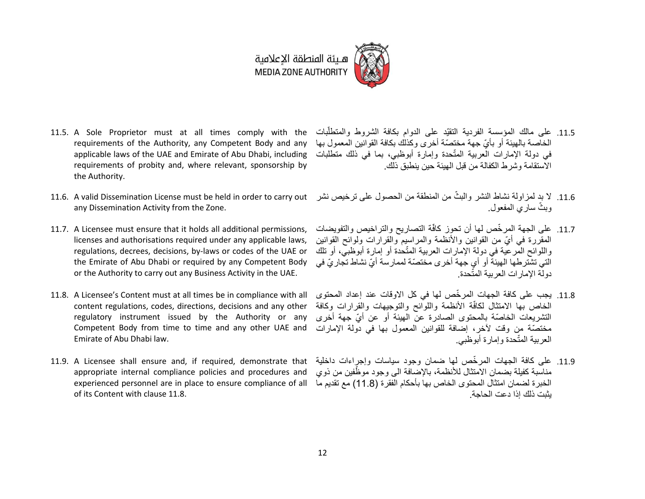

هيئة المنطقة الإعلامية **MEDIA ZONE AUTHORITY** 

- 11.5. A Sole Proprietor must at all times comply with the requirements of the Authority, any Competent Body and any applicable laws of the UAE and Emirate of Abu Dhabi, including requirements of probity and, where relevant, sponsorship by the Authority.
- 11.6. A valid Dissemination License must be held in order to carry out any Dissemination Activity from the Zone.
- 11.7. A Licensee must ensure that it holds all additional permissions, licenses and authorisations required under any applicable laws, regulations, decrees, decisions, by-laws or codes of the UAE or the Emirate of Abu Dhabi or required by any Competent Body or the Authority to carry out any Business Activity in the UAE.
- 11.8. A Licensee's Content must at all times be in compliance with all content regulations, codes, directions, decisions and any other regulatory instrument issued by the Authority or any Competent Body from time to time and any other UAE and Emirate of Abu Dhabi law.
- appropriate internal compliance policies and procedures and of its Content with clause 11.8.
- 11.5. على مالك المؤسسة الفردية التقيّد على الدوام بكافة الشروط والمتطلّبات أ الخاصة بالهيئة أو بأيّ جهة مختصّة أخرى وكذلك بكافة القوانين المعمول بها في دولة الإمارات العربية المتّحدة وإمارة أبوظبي، بما في ذلك متطلبات االستقامة وشرط الكفالة من قبل الهيئة حين ينطبق ذلك.
- 11.6. لا بد لمزاولة نشاط النشر والبثّ من المنطقة من الحصول على ترخيص نشر وبثّ ساري المفعول.
- 11.7. على الجهة المرخّص لها أن تحوز كافّة التصاريح والتراخيص والتفويضات المقررة في أيّ من القوانين والأنظمة والمراسيم والقرارات ولوائح القوانين واللوائح المّرعية في دولة الإمارات العربية المتّحدة أو إمارة أبوظبيّ، أو تلك التي تشترطها الهيئة أو أي جهة أخرى مختصّة لممارسة أيّ نشاط تجاريّ في دولة اإلمارات العربية المتّحدة.
- .11.3 يجب على كافة الجهات المر ّخص لها في كل االوقات عند إعداد المحتوى الخاص بها الامتثال لكافّة الأنظمة واللوائح والتوجيهات والقرارات وكافة التشريعات الخاصّة بالمحتوى الصادرة عن الهيئة أو عن أيّ جهة أخرى مختصّة من وقت آلخر، إضافة للقوانين المعمول بها في دولة اإلمارات العربية المتّحدة وإمارة أبوظبي.
- 11.9. A Licensee shall ensure and, if required, demonstrate that قلية الجهات المرخّص لها ضمان وجود سياسات وإجراءات داخلية experienced personnel are in place to ensure compliance of all الخبرة لضمان امتثال المحتوى الخاص بها بأحكام الفقرة )11.8( مع تقديم ما مناسبة كفيلة بضمان الامتثال للأنظمة، بالإضافة الى وجود موظّفين من ذوي يثبت ذلك إذا دعت الحاجة.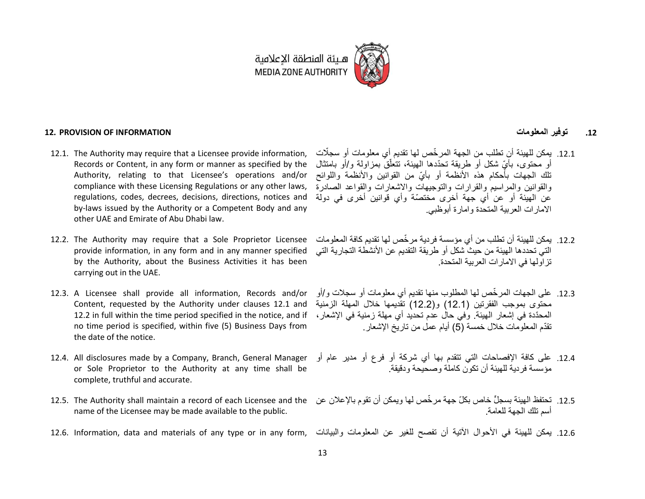

هـيئة المنطقة الإعلامية MEDIA ZONE AUTHORITY

### <span id="page-12-0"></span>**12. PROVISION OF INFORMATION المعلومات توفير .12**

- 12.1. The Authority may require that a Licensee provide information, Records or Content, in any form or manner as specified by the Authority, relating to that Licensee's operations and/or regulations, codes, decrees, decisions, directions, notices and by-laws issued by the Authority or a Competent Body and any other UAE and Emirate of Abu Dhabi law.
- 12.2. The Authority may require that a Sole Proprietor Licensee provide information, in any form and in any manner specified by the Authority, about the Business Activities it has been carrying out in the UAE.
- 12.3. A Licensee shall provide all information, Records and/or Content, requested by the Authority under clauses 12.1 and no time period is specified, within five (5) Business Days from the date of the notice.
- 12.4. All disclosures made by a Company, Branch, General Manager or Sole Proprietor to the Authority at any time shall be complete, truthful and accurate.
- 12.5. The Authority shall maintain a record of each Licensee and the name of the Licensee may be made available to the public.
- 

- compliance with these Licensing Regulations or any other laws, والقوانين والمراسيم والقرارات والتوجيهات واالشعارات والقواعد الصادرة .11.1 يمكن للهيئة أن تطلب من الجهة المر ّخص لها تقديم أي معلومات أو سجّالت أو محتوى، بأيّ شكل أو طريقة تحدّدها الهيئة، تتعلّقٌ بمزاولة و/أو بامتثال تلك الجهات بأحكام هذه األنظمة أو بأيّ من القوانين واألنظمة واللوائح عن الهيئة أو عن أي جهة أخرى مختصّة وأي قوانين أخرى في دولة االمارات العربية المتحدة وامارة أبوظبي.
	- .11.1 يمكن للهيئة أن تطلب من أي مؤسسة فردية مر ّخص لها تقديم كافة المعلومات التي تحددها الهيئة من حيث شكل أو طريقة التقديم عن األنشطة التجارية التي تزاولها في االمارات العربية المتحدة.
- 12.2 in full within the time period specified in the notice, and if المحّددة في إشعار الهيئة. وفي حال عدم تحديد أي مهلة زمنية في اإلشعار، .11.1 على الجهات المر ّخص لها المطلوب منها تقديم أي معلومات أو سجالت و/أو محتوى بموجب الفقرتين )12.1( و)12.2( تقديمها خالل المهلة الزمنية تقدّم المعلومات خلال خمسة (5) أيام عمل من تاريخ الإشعار
	- .11.3 على كافة اإلفصاحات التي تتقدم بها أي شركة أو فرع أو مدير عام أو مؤسسة فردية للهيئة أن تكون كاملة وصحيحة ودقيقة.
	- .12.5 تحتفظ الهيئة بسجلٍّ خاص بكلّ جهة مرخّص لها ويمكن أن تقوم بالإعلان عن أسم تلك الجهة للعامة.
- 12.6. يمكن للهيئة في الأحوال الآتية أن تفصح للغير عن المعلومات والبيانات ,form any type or in any form والبيانات ,form ation, data and materials of any type or in any form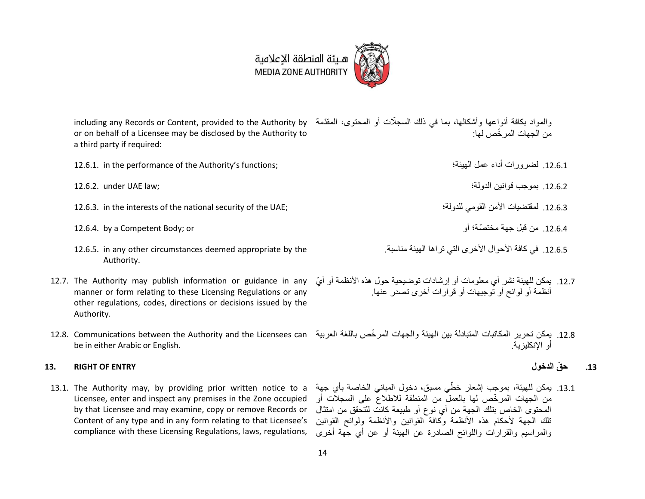

including any Records or Content, provided to the Authority by والمواد بكافة أنواعها وأشكالها، بما في ذلك السجّالت أو المحتوى، المقّدمة or on behalf of a Licensee may be disclosed by the Authority to a third party if required: من الجهات المر ّخص لها:

12.6.1. أضرورات أداء عمل الهيئة؛ عمل العيئة؛ عمل العيئة؛ عمل العيئة؛ عمل العيئة؛ عمل العيئة؛ عمل العيئة؛ عمل ا

- 12.6.3. in the interests of the national security of the UAE; لمقتضيات الأمن القومي للدولة؛ المقتضيات الأمن ا
- .11.3.3 من قبل جهة مختصّة؛ أو or; Body Competent a by 12.6.4.
- 12.6.5. in any other circumstances deemed appropriate by the Authority.
- 12.7. The Authority may publish information or guidance in any manner or form relating to these Licensing Regulations or any other regulations, codes, directions or decisions issued by the Authority.
- be in either Arabic or English.

### <span id="page-13-0"></span>**.13 ح ّق الدخول ENTRY OF RIGHT 13.**

Licensee, enter and inspect any premises in the Zone occupied by that Licensee and may examine, copy or remove Records or Content of any type and in any form relating to that Licensee's compliance with these Licensing Regulations, laws, regulations,

- .11.3.1 بموجب قوانين الدولة؛ ;law UAE under 12.6.2.
	- -
	- .12.6.5. في كافة الأحوال الأخرى التي تراها الهيئة مناسبة.
	- 12.7. يمكن للهيئة نشر أي معلومات أو إرشادات توضيحية حول هذه الأنظمة أو أيّ أنظمة أو لوائح أو توجيهات أو قرارات أخرى تصدر عنها.
- 12.8. يمكن تحرير المكاتبات المتبادلة بين الهيئة والجهات المرخّص باللغة العربية 12.8. Communications between the Authority and the Licensees can أو اإلنكليزية.

13.1. يمكن للهيئة، بموجب إشعار خطّي مسبق، دخول المباني الخاصـة بأي جهة 13.1. The Authority may, by providing prior written notice to a من الجهات المر ّخص لها بالعمل من المنطقة لالطالع على السجالت أو المحتوى الخاص بتلك الجهة من أي نوع أو طبيعة كانت للتحقق من امتثال تلك الجهة لأحكام هذه الأنظمة وكافة القوانين والأنظمة ولوائح القوانين والمراسيم والقرارات واللوائح الصادرة عن الهيئة أو عن أي جهة أخرى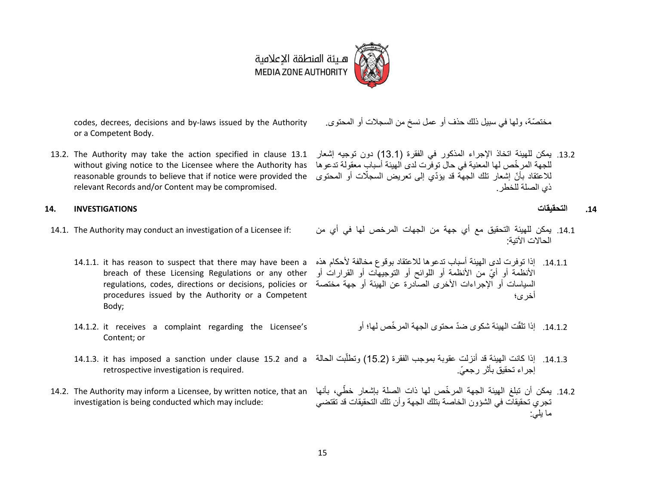

codes, decrees, decisions and by-laws issued by the Authority or a Competent Body.

<span id="page-14-0"></span>relevant Records and/or Content may be compromised.

### <span id="page-14-1"></span>**.14 التحقيقات INVESTIGATIONS 14.**

- - procedures issued by the Authority or a Competent Body;
	- 14.1.2. it receives a complaint regarding the Licensee's Content; or
	- retrospective investigation is required.
- investigation is being conducted which may include:

مختصّة، ولها في سبيل ذلك حذف أو عمل نسخ من السجالت أو المحتوى.

13.2. يمكن للهيئة اتخاذ الإجراء المذكور في الفقرة (13.1) دون توجيه إشعار 13.1 fire Authority may take the action specified in clause أيدى بمكن للهيئة اتخاذ الإجراء المذكور في الفقرة (13.1 without giving notice to the Licensee where the Authority has للجهة المر ّخص لها المعنية في حال توفرت لدى الهيئة أسباب معقولة تدعوها للاعتقاد بأنّ إشعار تلك الجهة قد يؤدّي إلى تعريض السجلّات أو المحتوى reasonable grounds to believe that if notice were provided the ذي الصلة للخطر.

- 14.1. يمكن للهيئة التحقيق مع أي جهة من الجهات المرخص لها في أي من :if : يمكن للهيئة التحقيق مع أي جهة من الجهات المرخص لها في أي من :14.1. The Authority may conduct an investigation of a Licensee if: الحاالت اآلتية:
	- 14.1.1. إذا توفرت لدى الهيئة أسباب تدعوها للاعتقاد بوقوع مخالفة لأحكام هذه 14.2.1.1 it has reason to suspect that there may have been a الأنظمة أو أيّ من الأنظمة أو اللوائح أو التوجيهات أو القرارات أو breach of these Licensing Regulations or any other regulations, codes, directions or decisions, policies or السياسات أو الإجراءات الأخرى الصادرة عن الهيئة أو جهة مختصة أخرى؛
		- 14.1.2. إذا تلقّت الهيئة شكوى ضدّ محتوى الجهة المرخّص لها؛ أو
	- 14.1.3. إذا كانت المهيئة قد أنزلت عقوبة بموجب الفقرة (15.2) وتطلُّبت الحالة 14.1.3. it has imposed a sanction under clause 15.2 and a j إجراء تحقيق بأثر رجعي.ّ
- 14.2. يمكن أن تبلغ الهيئة الجهة المرخّص لها ذات الصلة بإشعار خطّي، بأنها 14.2. The Authority may inform a Licensee, by written notice, that an تجري تحقيقات في الشؤون الخاصة بتلك الجهة وأن تلك التحقيقات قد تقتضي ما يلي: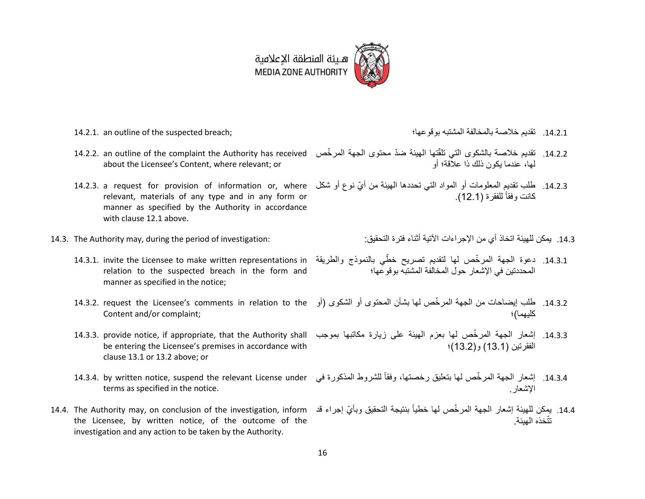

- 
- 14.2.2. an outline of the complaint the Authority has received about the Licensee's Content, where relevant; or
- relevant, materials of any type and in any form or manner as specified by the Authority in accordance with claus[e 12.1](#page-12-0) above.
- - 14.3.1. invite the Licensee to make written representations in relation to the suspected breach in the form and manner as specified in the notice;
	- Content and/or complaint;
	- be entering the Licensee's premises in accordance with clause [13.1](#page-13-0) o[r 13.2](#page-14-0) above; or
	- terms as specified in the notice.
- the Licensee, by written notice, of the outcome of the investigation and any action to be taken by the Authority.
- 14.2.1. an outline of the suspected breach; بوقوعها؛ المشتبه بالمخالفة خالصة تقديم .13.1.1
	- 14.2.2. تقديم خلاصة بالشكوى التي نلقّتها الهيئة ضدّ محتوى الجهة المرخّص لها، عندما يكون ذلك ذا عالقة؛ أو
- 14.2.3. طلب تقديم المعلومات أو المواد التي تحددها الهيئة من أيّ نوع أو شكل 14.2.3. a request for provision of information or, where قرار شكل 14.2.3 كانت وفقاً للفقرة (12.1).
- .13.1 يمكن للهيئة اتخاذ أي من اإلجراءات اآلتية أثناء فترة التحقيق: :investigation of period the during ,may Authority The 14.3.
	- 14.3.1. دعوة الجهة المرخّص لها لتقديم تصريح خطّى بالنموذج والطريقة المحددتين في اإلشعار حول المخالفة المشتبه بوقوعها؛
	- 14.3.2. طلب إيضاحات من الجهة المرخّص لها بشأن المحتوى أو الشكوى (أو 14.3.2. request the Licensee's comments in relation to the كليهما)؛
	- 14.3.3. إشعار الجهة المرخّص لها بعزم الهيئة على زيارة مكاتبها بموجب 14.3.3. provide notice, if appropriate, that the Authority shall الفقرتين )13.1( و)13.2(؛
	- 14.3.4. إشعار الجهة المرخّص لها بتعليق رخصتها، وفقاً للشروط المذكورة في 14.3.4. by written notice, suspend the relevant License under اإلشعار.
- 14.4. The Authority may, on conclusion of the investigation, inform يمكن للهيئة إشعار الجهة المرخّص لها خطياً بنتيجة التحقيق وبأيّ إجراء قد تتّخذه الهيئة.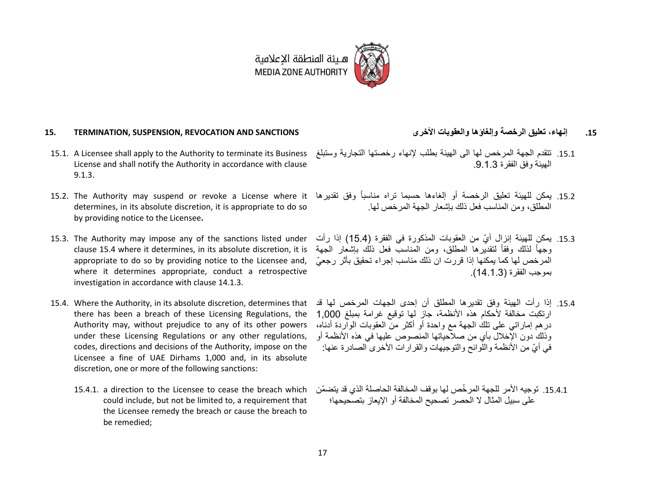

#### **.15 إنهاء، تعليق الرخصة وإلغاؤها والعقوبات األخرى SANCTIONS AND REVOCATION ,SUSPENSION ,TERMINATION 15.**

- 15.1. A Licensee shall apply to the Authority to terminate its Business License and shall notify the Authority in accordance with clause [9.1.3.](#page-8-1)
- determines, in its absolute discretion, it is appropriate to do so by providing notice to the Licensee**.**
- 15.3. The Authority may impose any of the sanctions listed under clause [15.4](#page-16-0) where it determines, in its absolute discretion, it is appropriate to do so by providing notice to the Licensee and, where it determines appropriate, conduct a retrospective investigation in accordance with clause [14.](#page-14-1)1.3.
- <span id="page-16-0"></span>15.4. Where the Authority, in its absolute discretion, determines that there has been a breach of these Licensing Regulations, the Authority may, without prejudice to any of its other powers under these Licensing Regulations or any other regulations, codes, directions and decisions of the Authority, impose on the Licensee a fine of UAE Dirhams 1,000 and, in its absolute discretion, one or more of the following sanctions:
	- 15.4.1. a direction to the Licensee to cease the breach which could include, but not be limited to, a requirement that the Licensee remedy the breach or cause the breach to be remedied;
- 
- .13.1 تتقدم الجهة المرخص لها الى الهيئة بطلب إلنهاء رخصتها التجارية وستبلغ الهيئة وفق الفقرة .9.1.3
- 15.2. يمكن للهيئة تعليق الرخصة أو إلغاءها حسبما تراه مناسباً وفق تقديرها 15.2. The Authority may suspend or revoke a License where it المطلق، ومن المناسب فعل ذلك بإشعار الجهة المرخص لها.
	- .13.1 يمكن للهيئة إنزال أيّ من العقوبات المذكورة في الفقرة )15.4( إذا رأت وجهاً لذلك وفقاً لتقديرها المطلق، ومن المناسب فعل ذلك بإشعار الجهة المرخص لها كما يمكنها إذا قررت ان ذلك مناسب إجراء تحقيق بأثر رجعيّ بموجب الفقرة )14.1.3(.
	- .13.3 إذا رأت الهيئة وفق تقديرها المطلق أن إحدى الجهات المرخص لها قد ارتكبت مخالفة لأحكام هذه الأنظمة، جاز لها توقيع غرامة بمبلغ 1,000 درهم إماراتي على تلك الجهة مع واحدة أو أكثر من العقوبات الواردة أدناه، وذلك دون الإخلال بأي من صلاحياتها المنصوص عليها في هذه الأنظمة أو في أيّ من الأنظمة واللوائح والتوجيهات والقرارات الأخر ي الصادر ة عنها:
	- .15.4.1 توجيه الأمر للجهة المر خّص لها بوقف المخالفة الحاصلة الذي قد يتضمّن على سبيل المثال ال الحصر تصحيح المخالفة أو اإليعاز بتصحيحها؛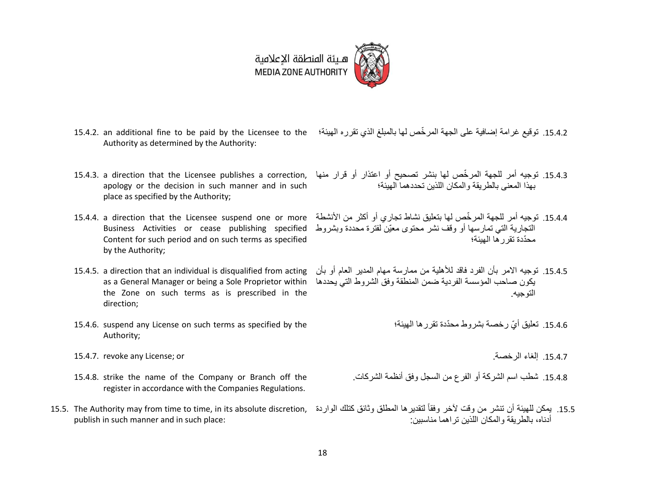## هـيئة المنطقة الإعلامية MEDIA ZONE AUTHORITY

- 
- 15.4.2. توقيع غرامة إضافية على الجهة المرخّص لها بالمبلغ الذي تقرره الهيئة؛ 15.4.2. an additional fine to be paid by the Licensee to the Authority as determined by the Authority:
- apology or the decision in such manner and in such place as specified by the Authority;
- Content for such period and on such terms as specified by the Authority;
- 15.4.5. a direction that an individual is disqualified from acting as a General Manager or being a Sole Proprietor within the Zone on such terms as is prescribed in the direction;
- 15.4.6. suspend any License on such terms as specified by the Authority;
- 15.4.7. revoke any License; or .الرخصة إلغاء .13.3.3
- 15.4.8. strike the name of the Company or Branch off the register in accordance with the Companies Regulations.
- publish in such manner and in such place:
- 
- 15.4.3. توجيه أمر للجهة المرخّص لها بنشر تصحيح أو اعتذار أو قرار منها ,15.4.3. a direction that the Licensee publishes a correction بهذا المعنى بالطريقة والمكان اللذين تحددهما الهيئة؛
- 15.4.4. توجيه أمر للجهة المرخّص لها بتعليق نشاط تجاري أو أكثر من الأنشطة 15.4.4. a direction that the Licensee suspend one or more Business Activities or cease publishing specified التجارية التي تمارسها أو وقف نشر محتوى معيّن لفترة محددة وبشروط محّددة تقررها الهيئة؛
	- .13.3.3 توجيه االمر بأن الفرد فاقد لألهلية من ممارسة مهام المدير العام أو بأن يكون صاحب المؤسسة الفردية ضمن المنطقة وفق الشروط التي يحددها التوجيه.
		- 15.4.6. تعليق أيّ رخصة بشروط محدّدة تقرر ها الهيئة؛

- .13.3.3 شطب اسم الشركة أو الفرع من السجل وفق أنظمة الشركات.
- 15.5. يمكن للهيئة أن تنشر من وقت لأخر وفقاً لتقديرها المطلق وثائق كتلك الواردة ,15.5. The Authority may from time to time, in its absolute discretion أدناه، بالطريقة والمكان اللذين تراهما مناسبين: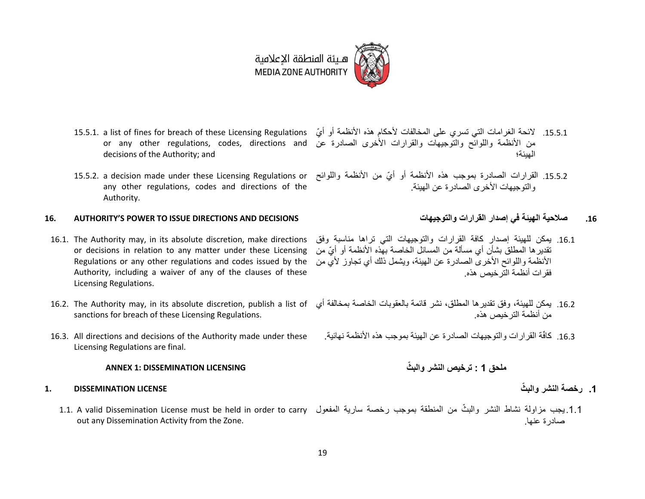هيئة المنطقة الإعلامية **MEDIA ZONE AUTHORITY** 

- 15.5.1. a list of fines for breach of these Licensing Regulations or any other regulations, codes, directions and decisions of the Authority; and
- 15.5.2. a decision made under these Licensing Regulations or any other regulations, codes and directions of the Authority.

### **16. AUTHORITY'S POWER TO ISSUE DIRECTIONS AND DECISIONS والتوجيهات القرارات إصدار في الهيئة صالحية .16**

- 16.1. The Authority may, in its absolute discretion, make directions or decisions in relation to any matter under these Licensing Regulations or any other regulations and codes issued by the Authority, including a waiver of any of the clauses of these Licensing Regulations.
- sanctions for breach of these Licensing Regulations.
- 16.3. All directions and decisions of the Authority made under these Licensing Regulations are final.

### **ملحق 1 : ترخيص النشر والب ّث LICENSING DISSEMINATION 1: ANNEX**

### **.1 رخصة النشر والب ّث LICENSE DISSEMINATION 1.**

1.1.يجب مزاولة نشاط النشر والبثّ من المنطقة بموجب رخصة سارية المفعول 1.1. A valid Dissemination License must be held in order to carry out any Dissemination Activity from the Zone.

- 15.5.1. لائحة الغرامات التي تسري على المخالفات لأحكام هذه الأنظمة أو أيّ من الأنظمة واللوائح والتوجيهات والقرارات الأخرى الصادرة عن الهيئة؛
	- 15.5.2. القرارات الصادرة بموجب هذه الأنظمة أو أيّ من الأنظمة واللوائح والتوجيهات الأخرى الصادر ة عن الهيئة.
		-
	- .13.1 يمكن للهيئة إصدار كافة القرارات والتوجيهات التي تراها مناسبة وفق تقديرها المطلق بشأن أي مسألة من المسائل الخاصة بهذه األنظمة أو أيّ من الأنظمة واللوائح الأخرى الصادر ة عن الهيئة، ويشمل ذلك أي تجاوز لأي من فقرات أنظمة الترخيص هذه.
- 16.2. يمكن للميئة، وفق تقديرها المطلق، نشر قائمة بالعقوبات الخاصة بمخالفة أي 16.2. The Authority may, in its absolute discretion, publish a list of من أنظمة الترخيص هذه.
	- 16.3. كافَّة القرارات والتوجيهات الصادرة عن الهيئة بموجب هذه الأنظمة نهائية.

- 
- صادرة عنها.

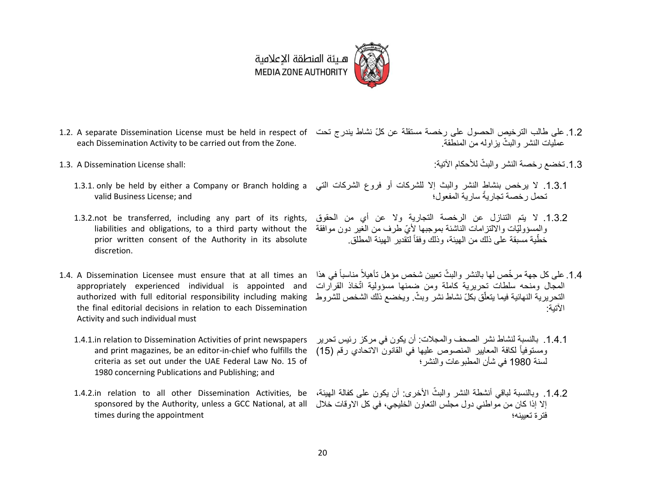

- 1.2. على طالب الترخيص الحصول على رخصة مستقلة عن كلّ نشاط يندرج تحت 1.2. A separate Dissemination License must be held in respect of each Dissemination Activity to be carried out from the Zone. عمليات النشر والبثّ يزاوله من المنطقة.
- 1.3. A Dissemination License shall:
	- valid Business License; and
	- 1.3.2.not be transferred, including any part of its rights, liabilities and obligations, to a third party without the prior written consent of the Authority in its absolute discretion.
- <span id="page-19-0"></span>1.4. A Dissemination Licensee must ensure that at all times an appropriately experienced individual is appointed and authorized with full editorial responsibility including making the final editorial decisions in relation to each Dissemination Activity and such individual must
	- 1.4.1.in relation to Dissemination Activities of print newspapers and print magazines, be an editor-in-chief who fulfills the criteria as set out under the UAE Federal Law No. 15 of 1980 concerning Publications and Publishing; and
	- 1.4.2.in relation to all other Dissemination Activities, be sponsored by the Authority, unless a GCC National, at all times during the appointment
- 1.3 تخضع رخصة النشر والبثّ للأحكام الآتية:
- 1.3.1. لا يرخص بنشاط النشر والبث إلا للشركات أو فروع الشركات التي 1.3.1. only be held by either a Company or Branch holding a تحمل رخصة تجاريةً سارية المفعول؛
	- .1.3.2 ال يتم التنازل عن الرخصة التجارية وال عن أي من الحقوق والمسؤوليّات وااللتزامات الناشئة بموجبها أليّ طرف من الغير دون موافقة خطّية مسبقة على ذلك من الهيئة، وذلك وفقاً لتّقدير الهيئة المطلق.
	- 1.4. على كل جهة مرخّص لها بالنشر والبثّ تعيين شخص مؤهل تأهيلاً مناسباً في هذا المجال ومنحه سلطات تحريرية كاملة ومن ضمنها مسؤولية اتّخاذ القرارات التحريرية النهائية فيما يتعلّق بكلّ نشاط نشر وبثّ ويخضع ذلك الشخص للشروط اآلتية:
	- .1.4.1 بالنسبة لنشاط نشر الصحف والمجالت: أن يكون في مركز رئيس تحرير ومستوفياً لكافة المعايير المنصوص عليها في القانون الاتحادي رقم (15) لسنة 1980 في شأن المطبوعات والنشر؛
	- 1.4.2. وبالنسبة لباقي أنشطة النشر والبثّ الأخرى: أن يكون على كفالة المهيئة، إال إذا كان من مواطني دول مجلس التعاون الخليجي، في كل االوقات خالل فترة تعيينه؛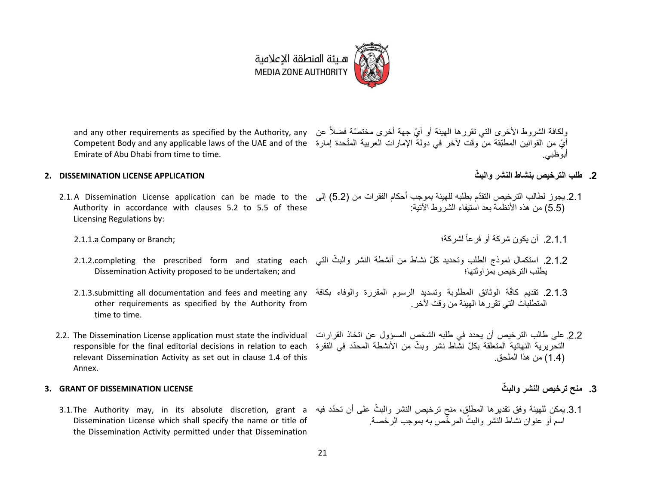#### 21

هيئة المنطقة الإعلامية **MEDIA ZONE AUTHORITY** 

and any other requirements as specified by the Authority, any نولكافة الشروط الأخرى التي تقررها الهيئة أو أيّ جهة أخرى مختصّة فضلاً عن and any other requirements as specified by the Authority, any أيّ من القوانين المطبّقة منّ وقت لأخر في دولة الإمارات العربية المتّحدة إمارة Competent Body and any applicable laws of the UAE and of the Emirate of Abu Dhabi from time to time. أبوظبي.

### **.2 طلب الترخيص بنشاط النشر والب ّث APPLICATION LICENSE DISSEMINATION 2.**

- Authority in accordance with clauses 5.2 to 5.5 of these Licensing Regulations by:
	- 2.1.1.a Company or Branch;
	- 2.1.2.completing the prescribed form and stating each Dissemination Activity proposed to be undertaken; and
	- 2.1.3.submitting all documentation and fees and meeting any other requirements as specified by the Authority from time to time.
- <span id="page-20-0"></span>2.2. The Dissemination License application must state the individual relevant Dissemination Activity as set out in clause 1.4 of this Annex.

### **.3 منح ترخيص النشر والب ّث LICENSE DISSEMINATION OF GRANT 3.**

3.1.The Authority may, in its absolute discretion, grant a Dissemination License which shall specify the name or title of the Dissemination Activity permitted under that Dissemination

- 
- 2.1.A Dissemination License application can be made to the ( إلى ) 5.2) إلى ) له ) المشتم بطلبه للهيئة بموجب أحكام الفقرات من (5.2) إلى (5.5) من هذه الأنظمة بعد استيفاء الشروط الآتية:
	- .2.1.1 أن يكون شركة أو فرعاً
	- 2.1.2. استكمال نموذج الطلب وتحديد كلّ نشاط من أنشطة النشر والبثّ التي يطلب الترخيص بمزاولتها؛
	- 2.1.3. تقديم كافّة الوثائق المطلوبة وتسديد الرسوم المقررة والوفاء بكافة المتطلبات التي تقررها الهيئة من وقت آلخر.
	- التحريرية النهائية المتعلقة بكلّ نشّاط نشر وبثّ من الأنشطة المحدّد في الفقرة responsible for the final editorial decisions in relation to each .2.2 على طالب الترخيص أن يحدد في طلبه الشخص المسؤول عن اتخاذ القرارات )1.4( من هذا الملحق.

3.1.يمكن للهيئة وفق تقديرها المطلق، منح ترخيص النشر والبثّ على أن تحدّد فيه اسم أو عنوان نشاط النشر والبثّ المرخّص به بموجب الرخصة.



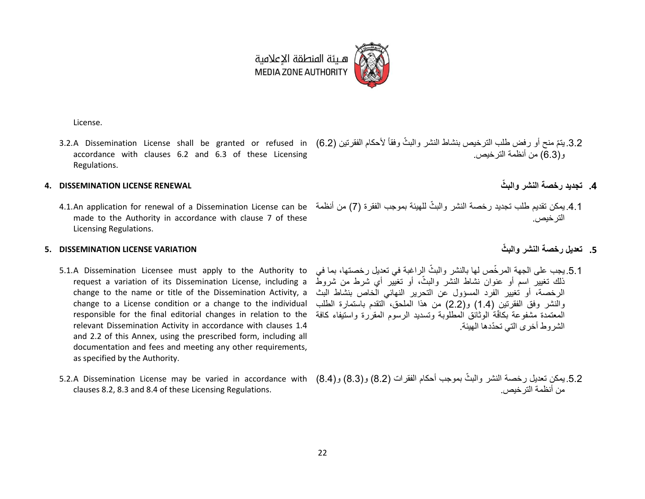

هـيئة المنطقة الإعلامية **MEDIA ZONE AUTHORITY** 

License.

3.2. يتمّ منح أو رفض طلب الترخيص بنشاط النشر والبثّ وفقاً لأحكام الفقرتين (6.2) 3.2.A Dissemination License shall be granted or refused in (6.2 accordance with clauses 6.2 and 6.3 of these Licensing Regulations. و)6.3( من أنظمة الترخيص.

### **.4 تجديد رخصة النشر والب ّث RENEWAL LICENSE DISSEMINATION 4.**

4.1.An application for renewal of a Dissemination License can be أمن أنظمة (7) من أنظمة 4.1.An application for renewal of a Dissemination License can be made to the Authority in accordance with clause 7 of these Licensing Regulations.

### <span id="page-21-0"></span>**.5 تعديل رخصة النشر والب ّث VARIATION LICENSE DISSEMINATION 5.**

- 5.1.A Dissemination Licensee must apply to the Authority to request a variation of its Dissemination License, including a change to the name or title of the Dissemination Activity, a change to a License condition or a change to the individual responsible for the final editorial changes in relation to the relevant Dissemination Activity in accordance with clauses [1.4](#page-19-0) and [2.2](#page-20-0) of this Annex, using the prescribed form, including all documentation and fees and meeting any other requirements, as specified by the Authority.
- <span id="page-21-1"></span>clauses 8.2, 8.3 and 8.4 of these Licensing Regulations.

الترخيص.

- 5.1. يجب على الجهة المرخّص لها بالنشر والبثّ الراغبة في تعديل رخصتها، بما في ذلك تغيير اسم أو عنوان نشاط النشر والبثّ، أو تغيّير أي شرط من شروطٌ الرخصة، أو تغيير الفرد المسؤول عن التحرير النهائي الخاص بنشاط البث والنشر وفق الفقرتين (1.4) و(2.2) من هذا الملحق، التقدم باستمارة الطلب المعتمدة مشفوعة بكافّة الوثائق المطلوبة وتسديد الرسوم المقررة واستيفاء كافة الشروط أخرى التي تحّددها الهيئة.
- 5.2.يمكن تعديل رخصة النشر والبثّ بموجب أحكام الفقرات (8.2) و(8.4) S.2.A Dissemination License may be varied in accordance with (8.4) من أنظمة الترخيص.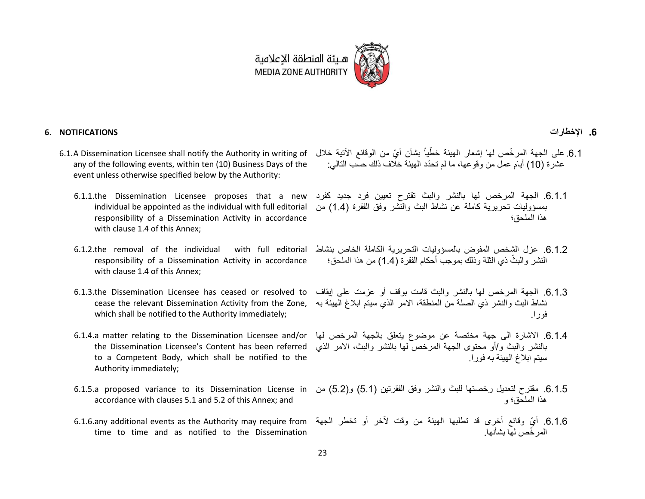

#### **.6 اإلخطارات NOTIFICATIONS 6.**

- any of the following events, within ten (10) Business Days of the event unless otherwise specified below by the Authority:
	- 6.1.1.the Dissemination Licensee proposes that a new individual be appointed as the individual with full editorial responsibility of a Dissemination Activity in accordance with clause [1.4](#page-19-0) of this Annex;
	- $6.1.2.$ the removal of the individual responsibility of a Dissemination Activity in accordance with clause 1.4 of this Annex;
	- 6.1.3.the Dissemination Licensee has ceased or resolved to cease the relevant Dissemination Activity from the Zone, which shall be notified to the Authority immediately;
	- the Dissemination Licensee's Content has been referred to a Competent Body, which shall be notified to the Authority immediately;
	- 6.1.5.a proposed variance to its Dissemination License in accordance with clauses [5.1](#page-21-0) an[d 5.2](#page-21-1) of this Annex; and
	- 6.1.6.any additional events as the Authority may require from time to time and as notified to the Dissemination
- 6.1. على الجهة المرخّص لها إشعار الهيئة خطّياً بشأن أيّ من الوقائع الآتية خلال 6.1.A Dissemination Licensee shall notify the Authority in writing of عشرة (10) أيام عمل من وقوعها، ما لم تحدّد الهيئة خلاف ذلك حسب التالي:
	- .6.1.1 الجهة المرخص لها بالنشر والبث تقترح تعيين فرد جديد كفرد بمسؤوليات تحريرية كاملة عن نشاط البث والنشر وفق الفقرة )1.4( من هذا الملحق؛
	- .6.1.2 عزل الشخص المفوض بالمسؤوليات التحريرية الكاملة الخاص بنشاط النشر والبثّ ذي الثلّة وذلك بموجب أحكام الفقر ة (4\_1) من هذا الملحق؛
		- .6.1.3 الجهة المرخص لها بالنشر والبث قامت بوقف أو عزمت على إيقاف نشاط البث والنشر ذي الصلة من المنطقة، االمر الذي سيتم ابالغ الهيئة به فورا.
	- 6.1.4. الاشارة الى جهة مختصة عن موضوع يتعلق بالجهة المرخص لها 6.1.4.a matter relating to the Dissemination Licensee and/or بالنشر والبث و/أو محتوى الجهة المرخص لها بالنشر والبث، االمر الذي سيتم ابالغ الهيئة به فورا.
		- 6.1.5. مقترح لتعديل رخصتها للبث والنشر وفق الفقرتين (5.1) و(5.2) من هذا الملحق؛ و
		- .6.1.6 أيّ وقائع أخرى قد تطلبها الهيئة من وقت آلخر أو تخطر الجهة المر ّخص لها بشأنها.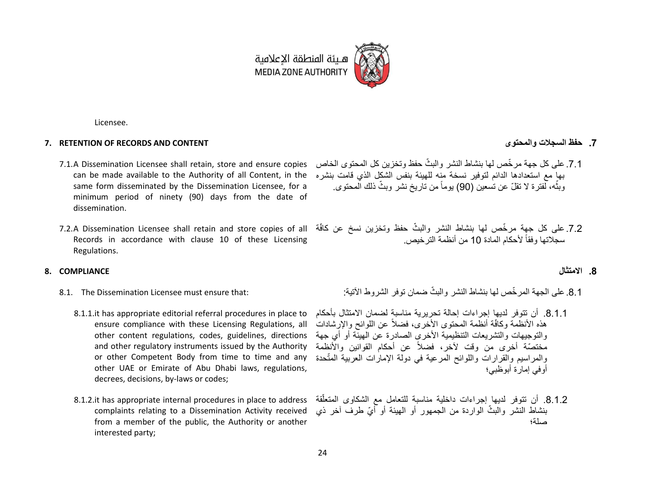

Licensee.

#### **7. RETENTION OF RECORDS AND CONTENT والمحتوى السجالت حفظ .7**

- 7.1.A Dissemination Licensee shall retain, store and ensure copies can be made available to the Authority of all Content, in the same form disseminated by the Dissemination Licensee, for a minimum period of ninety (90) days from the date of dissemination.
- 7.2.A Dissemination Licensee shall retain and store copies of all Records in accordance with clause 10 of these Licensing Regulations.

#### **.8 االمتثال COMPLIANCE 8.**

- 8.1. The Dissemination Licensee must ensure that:
	- 8.1.1.it has appropriate editorial referral procedures in place to ensure compliance with these Licensing Regulations, all other content regulations, codes, guidelines, directions and other regulatory instruments issued by the Authority or other Competent Body from time to time and any other UAE or Emirate of Abu Dhabi laws, regulations, decrees, decisions, by-laws or codes;
	- 8.1.2.it has appropriate internal procedures in place to address complaints relating to a Dissemination Activity received from a member of the public, the Authority or another interested party;

- 7.1. على كل جهة مرخّص لها بنشاط النشر والبثّ حفظ وتخزين كل المحتوى الخاص بها مع استعدادها الدائم لتوفير نسخة منه للهيئة بنفس الشكل الذي قامت بنشره وبثّه، لفترة لا تقلّ عن تسعين (90) يوماً من تاريخ نشر وبثّ ذلك المحتوى. ة<br>أ
- 7.2. على كل جهة مرخّص لها بنشاط النشر والبثّ حفظ وتخزين نسخ عن كافّة سجلاتها وفقاً لأحكام المادة 10 من أنظمة التر خيص.

- 8.1. على الجهة المر خّص لها بنشاط النشر والبثّ ضمان توفر الشروط الآتية·
- .8.1.1 أن تتوفر لديها إجراءات إحالة تحريرية مناسبة لضمان االمتثال بأحكام هذه الأنظمة وكافّة أنظمة المحتوى الأخرى، فضلاً عن اللوائح والإرشادات والتوجيهات والتشريعات التنظيمية األخرى الصادرة عن الهيئة أو أي جهة مختصّة أخرى من وقت لآخر، فضلاً عن أحكام القوانين والأنظمة والمراسيم والقرارات واللوائح المرعية في دولة الإمارات العربية المتّحدة أوفي إمارة أبوظبي؛
- 8.1.2. أن تتوفر لديها إجراءات داخلية مناسبة للتعامل مع الشكاوى المتعلّقة أ بنشاط النشر والبثّ الواردة من الجمهور أو الهيئة أو أيّ طرف آخر ذي صلة؛